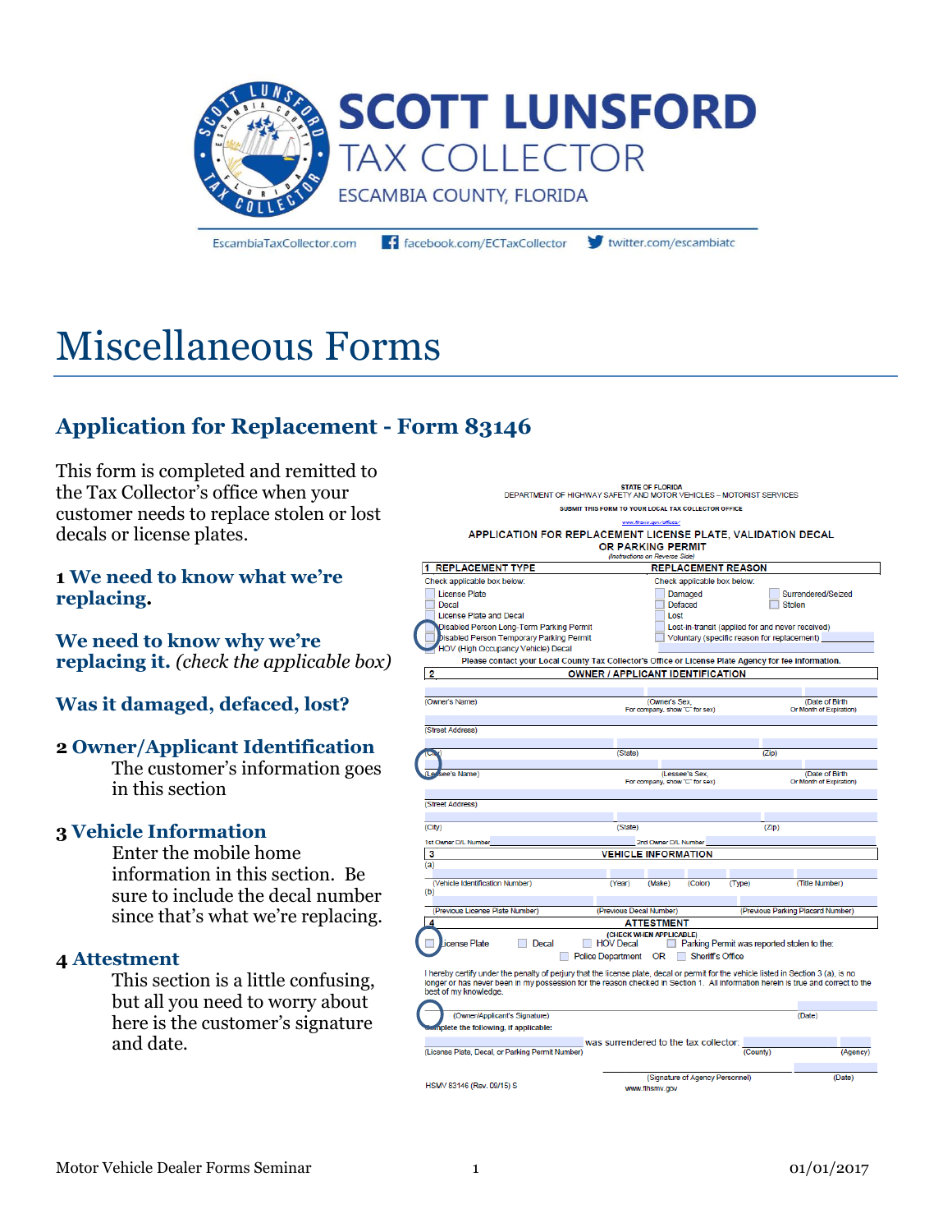

EscambiaTaxCollector.com

facebook.com/ECTaxCollector

twitter.com/escambiato

# Miscellaneous Forms

## **Application for Replacement - Form 83146**

This form is completed and remitted to the Tax Collector's office when your customer needs to replace stolen or lost decals or license plates.

#### **1 We need to know what we're replacing.**

**We need to know why we're replacing it.** *(check the applicable box)*

#### **Was it damaged, defaced, lost?**

#### **2 Owner/Applicant Identification**

The customer's information goes in this section

#### **3 Vehicle Information**

Enter the mobile home information in this section. Be sure to include the decal number since that's what we're replacing.

#### **4 Attestment**

This section is a little confusing, but all you need to worry about here is the customer's signature and date.

| www.fihsrm.gov/offices/<br>APPLICATION FOR REPLACEMENT LICENSE PLATE, VALIDATION DECAL<br>OR PARKING PERMIT<br>(Instructions on Reverse Side)                                                                                                                                                                              |                                                                         |                                                  |                  |                             |                                                                                                                                 |
|----------------------------------------------------------------------------------------------------------------------------------------------------------------------------------------------------------------------------------------------------------------------------------------------------------------------------|-------------------------------------------------------------------------|--------------------------------------------------|------------------|-----------------------------|---------------------------------------------------------------------------------------------------------------------------------|
| <b>REPLACEMENT TYPE</b><br>11                                                                                                                                                                                                                                                                                              |                                                                         |                                                  |                  | <b>REPLACEMENT REASON</b>   |                                                                                                                                 |
| Check applicable box below:<br><b>License Plate</b><br>Decal<br><b>License Plate and Decal</b><br>Disabled Person Long-Term Parking Permit<br>Disabled Person Temporary Parking Permit<br>HOV (High Occupancy Vehicle) Decal                                                                                               |                                                                         | Damaged<br>Defaced<br>Lost                       |                  | Check applicable box below: | Surrendered/Seized<br>Stolen<br>Lost-in-transit (applied for and never received)<br>Voluntary (specific reason for replacement) |
| Please contact your Local County Tax Collector's Office or License Plate Agency for fee information.                                                                                                                                                                                                                       |                                                                         |                                                  |                  |                             |                                                                                                                                 |
| $\overline{2}$                                                                                                                                                                                                                                                                                                             | <b>OWNER / APPLICANT IDENTIFICATION</b>                                 |                                                  |                  |                             |                                                                                                                                 |
|                                                                                                                                                                                                                                                                                                                            |                                                                         |                                                  |                  |                             |                                                                                                                                 |
| (Owner's Name)                                                                                                                                                                                                                                                                                                             |                                                                         | (Owner's Sex.<br>For company, show "C" for sex)  |                  |                             | (Date of Birth<br>Or Month of Expiration)                                                                                       |
| (Street Address)                                                                                                                                                                                                                                                                                                           |                                                                         |                                                  |                  |                             |                                                                                                                                 |
|                                                                                                                                                                                                                                                                                                                            | (State)                                                                 |                                                  |                  | (Zip)                       |                                                                                                                                 |
| iee's Name)                                                                                                                                                                                                                                                                                                                |                                                                         | (Lessee's Sex.<br>For company, show "C" for sex) |                  |                             | (Date of Birth)<br>Or Month of Expiration)                                                                                      |
| (Street Address)<br>(City)                                                                                                                                                                                                                                                                                                 | (State)                                                                 |                                                  |                  |                             | (Zip)                                                                                                                           |
| 1st Owner D/L Number                                                                                                                                                                                                                                                                                                       |                                                                         | 2nd Owner D/L Number                             |                  |                             |                                                                                                                                 |
| 3<br>(a)                                                                                                                                                                                                                                                                                                                   | <b>VEHICLE INFORMATION</b>                                              |                                                  |                  |                             |                                                                                                                                 |
| (Vehicle Identification Number)<br>(b)                                                                                                                                                                                                                                                                                     | (Year)                                                                  | (Make)                                           | (Color)          | (Type)                      | (Title Number)                                                                                                                  |
| (Previous License Plate Number)                                                                                                                                                                                                                                                                                            | (Previous Decal Number)                                                 |                                                  |                  |                             | (Previous Parking Placard Number)                                                                                               |
| 4                                                                                                                                                                                                                                                                                                                          |                                                                         | <b>ATTESTMENT</b>                                |                  |                             |                                                                                                                                 |
| icense Plate<br>Decal<br>I hereby certify under the penalty of perjury that the license plate, decal or permit for the vehicle listed in Section 3 (a), is no<br>longer or has never been in my possession for the reason checked in Section 1. All information herein is true and correct to the<br>best of my knowledge. | (CHECK WHEN APPLICABLE)<br><b>HOV Decal</b><br><b>Police Department</b> | 0R                                               | Sheriff's Office |                             | Parking Permit was reported stolen to the:                                                                                      |
| (Owner/Applicant's Signature)                                                                                                                                                                                                                                                                                              |                                                                         |                                                  |                  |                             | (Date)                                                                                                                          |
| plete the following, if applicable:                                                                                                                                                                                                                                                                                        |                                                                         |                                                  |                  |                             |                                                                                                                                 |
| (License Plate, Decal, or Parking Permit Number)                                                                                                                                                                                                                                                                           | was surrendered to the tax collector:                                   |                                                  |                  | (County)                    | (Agency)                                                                                                                        |
| HSMV 83146 (Rev. 09/15) S                                                                                                                                                                                                                                                                                                  | www.flhemy.oov                                                          | (Signature of Agency Personnel)                  |                  |                             | (Date)                                                                                                                          |

STATE OF FLORIDA<br>DEPARTMENT OF HIGHWAY SAFETY AND MOTOR VEHICLES - MOTORIST SERVICES SUBMIT THIS FORM TO YOUR LOCAL TAX COLLECTOR OFFICE